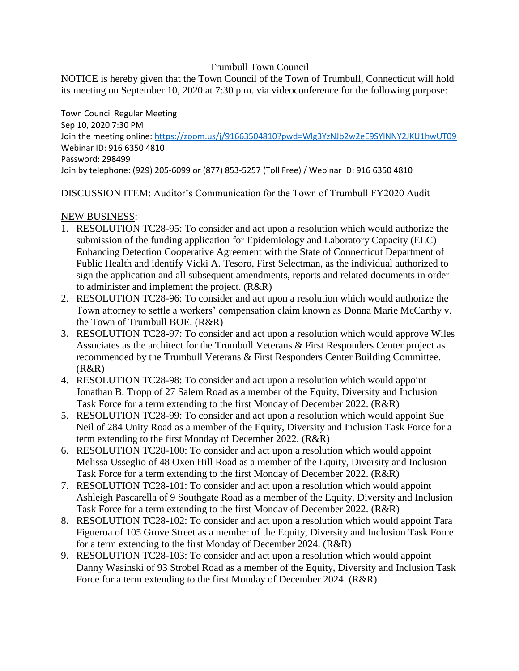## Trumbull Town Council

NOTICE is hereby given that the Town Council of the Town of Trumbull, Connecticut will hold its meeting on September 10, 2020 at 7:30 p.m. via videoconference for the following purpose:

Town Council Regular Meeting Sep 10, 2020 7:30 PM Join the meeting online:<https://zoom.us/j/91663504810?pwd=Wlg3YzNJb2w2eE9SYlNNY2JKU1hwUT09> Webinar ID: 916 6350 4810 Password: 298499 Join by telephone: (929) 205-6099 or (877) 853-5257 (Toll Free) / Webinar ID: 916 6350 4810

DISCUSSION ITEM: Auditor's Communication for the Town of Trumbull FY2020 Audit

## NEW BUSINESS:

- 1. RESOLUTION TC28-95: To consider and act upon a resolution which would authorize the submission of the funding application for Epidemiology and Laboratory Capacity (ELC) Enhancing Detection Cooperative Agreement with the State of Connecticut Department of Public Health and identify Vicki A. Tesoro, First Selectman, as the individual authorized to sign the application and all subsequent amendments, reports and related documents in order to administer and implement the project. (R&R)
- 2. RESOLUTION TC28-96: To consider and act upon a resolution which would authorize the Town attorney to settle a workers' compensation claim known as Donna Marie McCarthy v. the Town of Trumbull BOE. (R&R)
- 3. RESOLUTION TC28-97: To consider and act upon a resolution which would approve Wiles Associates as the architect for the Trumbull Veterans & First Responders Center project as recommended by the Trumbull Veterans & First Responders Center Building Committee.  $(R&R)$
- 4. RESOLUTION TC28-98: To consider and act upon a resolution which would appoint Jonathan B. Tropp of 27 Salem Road as a member of the Equity, Diversity and Inclusion Task Force for a term extending to the first Monday of December 2022. (R&R)
- 5. RESOLUTION TC28-99: To consider and act upon a resolution which would appoint Sue Neil of 284 Unity Road as a member of the Equity, Diversity and Inclusion Task Force for a term extending to the first Monday of December 2022. (R&R)
- 6. RESOLUTION TC28-100: To consider and act upon a resolution which would appoint Melissa Usseglio of 48 Oxen Hill Road as a member of the Equity, Diversity and Inclusion Task Force for a term extending to the first Monday of December 2022. (R&R)
- 7. RESOLUTION TC28-101: To consider and act upon a resolution which would appoint Ashleigh Pascarella of 9 Southgate Road as a member of the Equity, Diversity and Inclusion Task Force for a term extending to the first Monday of December 2022. (R&R)
- 8. RESOLUTION TC28-102: To consider and act upon a resolution which would appoint Tara Figueroa of 105 Grove Street as a member of the Equity, Diversity and Inclusion Task Force for a term extending to the first Monday of December 2024. (R&R)
- 9. RESOLUTION TC28-103: To consider and act upon a resolution which would appoint Danny Wasinski of 93 Strobel Road as a member of the Equity, Diversity and Inclusion Task Force for a term extending to the first Monday of December 2024. (R&R)